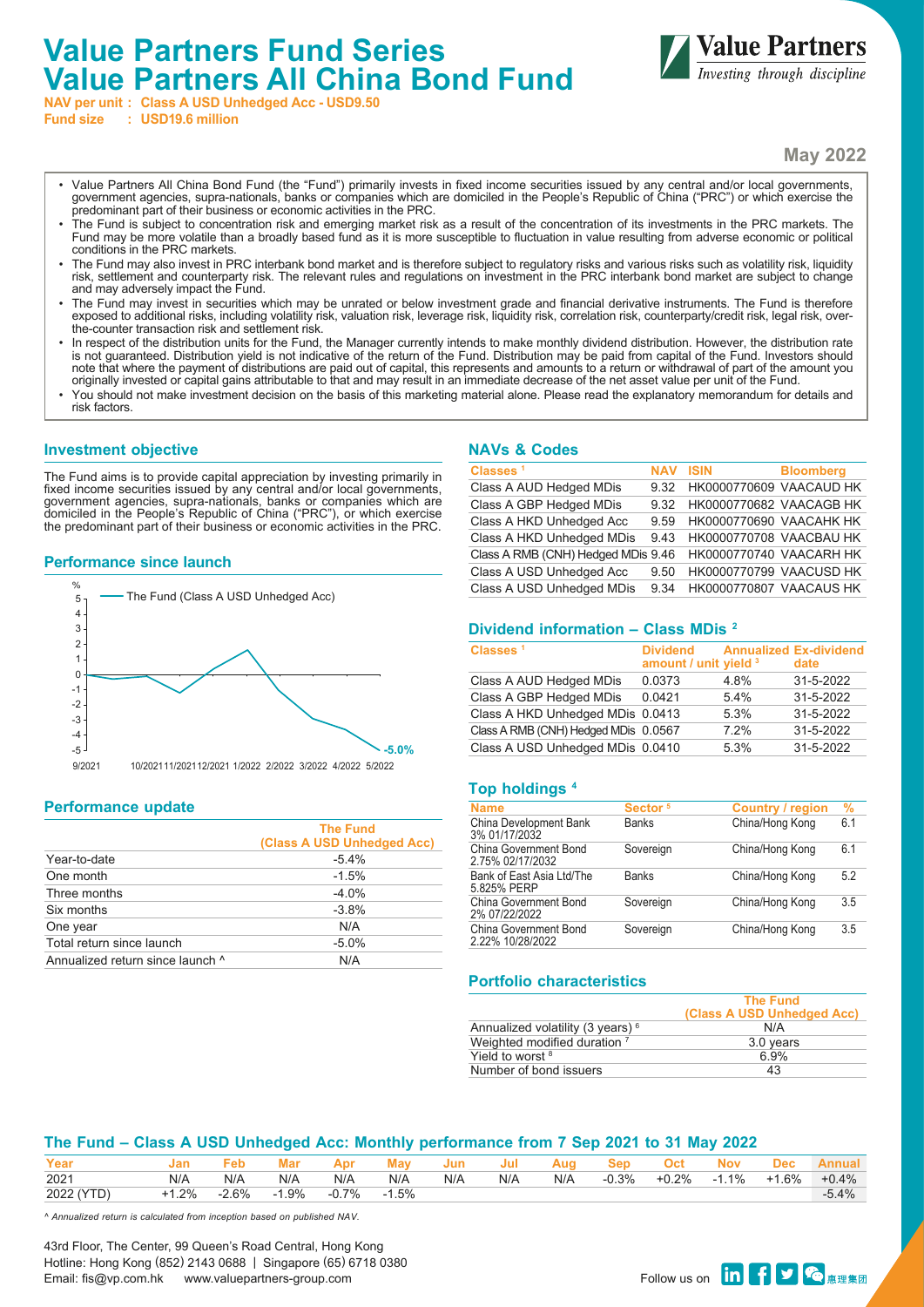# **Value Partners Fund Series Value Partners All China Bond Fund**



**NAV per unit : Class A USD Unhedged Acc - USD9.50**

**Fund size : USD19.6 million**

**May 2022**

- Value Partners All China Bond Fund (the "Fund") primarily invests in fixed income securities issued by any central and/or local governments, government agencies, supra-nationals, banks or companies which are domiciled in the People's Republic of China ("PRC") or which exercise the predominant part of their business or economic activities in the PRC.
- The Fund is subject to concentration risk and emerging market risk as a result of the concentration of its investments in the PRC markets. The Fund may be more volatile than a broadly based fund as it is more susceptible to fluctuation in value resulting from adverse economic or political conditions in the PRC markets.
- The Fund may also invest in PRC interbank bond market and is therefore subject to regulatory risks and various risks such as volatility risk, liquidity risk, settlement and counterparty risk. The relevant rules and regulations on investment in the PRC interbank bond market are subject to change and may adversely impact the Fund.
- The Fund may invest in securities which may be unrated or below investment grade and financial derivative instruments. The Fund is therefore exposed to additional risks, including volatility risk, valuation risk, leverage risk, liquidity risk, correlation risk, counterparty/credit risk, legal risk, overthe-counter transaction risk and settlement risk.
- In respect of the distribution units for the Fund, the Manager currently intends to make monthly dividend distribution. However, the distribution rate is not guaranteed. Distribution yield is not indicative of the return of the Fund. Distribution may be paid from capital of the Fund. Investors should note that where the payment of distributions are paid out of capital, this represents and amounts to a return or withdrawal of part of the amount you originally invested or capital gains attributable to that and may result in an immediate decrease of the net asset value per unit of the Fund.
- You should not make investment decision on the basis of this marketing material alone. Please read the explanatory memorandum for details and risk factors.

## **Investment objective**

The Fund aims is to provide capital appreciation by investing primarily in fixed income securities issued by any central and/or local governments, government agencies, supra-nationals, banks or companies which are domiciled in the People's Republic of China ("PRC"), or which exercise the predominant part of their business or economic activities in the PRC.

#### **Performance since launch**



# **Performance update**

|                                  | <b>The Fund</b><br>(Class A USD Unhedged Acc) |
|----------------------------------|-----------------------------------------------|
| Year-to-date                     | $-5.4%$                                       |
| One month                        | $-1.5%$                                       |
| Three months                     | $-4.0%$                                       |
| Six months                       | $-3.8%$                                       |
| One year                         | N/A                                           |
| Total return since launch        | $-5.0%$                                       |
| Annualized return since launch ^ | N/A                                           |

## **NAVs & Codes**

| Classes <sup>1</sup>                                       | <b>NAV ISIN</b> |                         | <b>Bloomberg</b> |
|------------------------------------------------------------|-----------------|-------------------------|------------------|
| Class A AUD Hedged MDis                                    | 9.32            | HK0000770609 VAACAUD HK |                  |
| Class A GBP Hedged MDis                                    | 9.32            | HK0000770682 VAACAGB HK |                  |
| Class A HKD Unhedged Acc                                   | 9.59            | HK0000770690 VAACAHK HK |                  |
| Class A HKD Unhedged MDis                                  | 943             | HK0000770708 VAACBAU HK |                  |
| Class A RMB (CNH) Hedged MDis 9.46 HK0000770740 VAACARH HK |                 |                         |                  |
| Class A USD Unhedged Acc                                   | 9.50            | HK0000770799 VAACUSD HK |                  |
| Class A USD Unhedged MDis                                  | 9 34            | HK0000770807 VAACAUS HK |                  |

## **Dividend information – Class MDis 2**

| Classes <sup>1</sup>                 | <b>Dividend</b> Annualized Ex-dividend<br>amount / unit yield 3 |      | date      |
|--------------------------------------|-----------------------------------------------------------------|------|-----------|
| Class A AUD Hedged MDis              | 0.0373                                                          | 4.8% | 31-5-2022 |
| Class A GBP Hedged MDis              | 0.0421                                                          | 5.4% | 31-5-2022 |
| Class A HKD Unhedged MDis 0.0413     |                                                                 | 5.3% | 31-5-2022 |
| Class A RMB (CNH) Hedged MDis 0.0567 |                                                                 | 7.2% | 31-5-2022 |
| Class A USD Unhedged MDis 0.0410     |                                                                 | 5.3% | 31-5-2022 |

## **Top holdings 4**

| <b>Name</b>                                      | Sector <sup>5</sup> | <b>Country / region</b> | $\%$ |
|--------------------------------------------------|---------------------|-------------------------|------|
| China Development Bank<br>3% 01/17/2032          | <b>Banks</b>        | China/Hong Kong         | 6.1  |
| China Government Bond<br>2.75% 02/17/2032        | Sovereign           | China/Hong Kong         | 6.1  |
| Bank of East Asia Ltd/The<br>5.825% PERP         | <b>Banks</b>        | China/Hong Kong         | 5.2  |
| China Government Bond<br>2% 07/22/2022           | Sovereign           | China/Hong Kong         | 3.5  |
| <b>China Government Bond</b><br>2.22% 10/28/2022 | Sovereign           | China/Hong Kong         | 3.5  |

#### **Portfolio characteristics**

| <b>The Fund</b>            |
|----------------------------|
| (Class A USD Unhedged Acc) |
| N/A                        |
| 3.0 years                  |
| 6.9%                       |
| 43                         |
|                            |

# **The Fund – Class A USD Unhedged Acc: Monthly performance from 7 Sep 2021 to 31 May 2022**

| Year       | Jan     |         | Mar    | Apı     | Mav     | Jun | Jul | Aug | ser     | Jct   |         | Jec     | Annual  |
|------------|---------|---------|--------|---------|---------|-----|-----|-----|---------|-------|---------|---------|---------|
| 2021       | N/A     | N/A     | N/A    | N/A     | N/A     | N/A | N/A | N/A | $-0.3%$ | +0.2% | $-1.1%$ | $+1.6%$ | $+0.4%$ |
| 2022 (YTD) | $+1.2%$ | $-2.6%$ | $.9\%$ | $-0.7%$ | $-1.5%$ |     |     |     |         |       |         |         | $-5.4%$ |

*^ Annualized return is calculated from inception based on published NAV.*

43rd Floor, The Center, 99 Queen's Road Central, Hong Kong Hotline: Hong Kong (852) 2143 0688 | Singapore (65) 6718 0380 רוסטער בארציט (און געראַר אַ די אַ דער אַ דער אַ דער אַ דער אַ דער אַ דער אַ דער אַ דער אַ דער אַ דער אַ דער א<br>Follow us on www.valuepartners-group.com Follow us on **in Fi**nal: fis@vp.com.hk